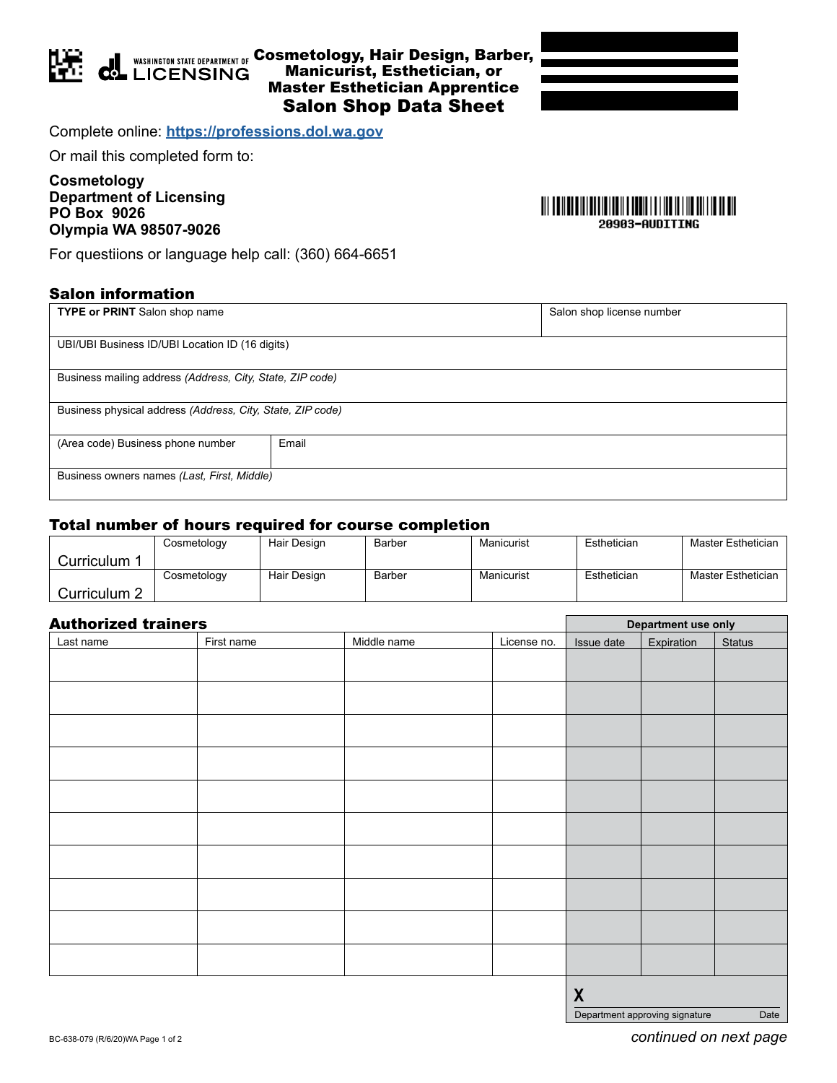

 $q$ 

## **MASHINGTON STATE DEPARTMENT OF COSMEtology, Hair Design, Barber,** Manicurist, Esthetician, or **LICENSING** Master Esthetician Apprentice Salon Shop Data Sheet

Complete online: **<https://professions.dol.wa.gov>**

Or mail this completed form to:

**Cosmetology Department of Licensing PO Box 9026 Olympia WA 98507-9026**

For questiions or language help call: (360) 664-6651

## Salon information

| <b>TYPE or PRINT</b> Salon shop name                       |       | Salon shop license number |  |  |
|------------------------------------------------------------|-------|---------------------------|--|--|
|                                                            |       |                           |  |  |
|                                                            |       |                           |  |  |
| UBI/UBI Business ID/UBI Location ID (16 digits)            |       |                           |  |  |
|                                                            |       |                           |  |  |
| Business mailing address (Address, City, State, ZIP code)  |       |                           |  |  |
|                                                            |       |                           |  |  |
| Business physical address (Address, City, State, ZIP code) |       |                           |  |  |
|                                                            |       |                           |  |  |
| (Area code) Business phone number                          | Email |                           |  |  |
|                                                            |       |                           |  |  |
| Business owners names (Last, First, Middle)                |       |                           |  |  |
|                                                            |       |                           |  |  |
|                                                            |       |                           |  |  |

## Total number of hours required for course completion

|              | Cosmetology | Hair Design | Barber | Manicurist | Esthetician | Master Esthetician |
|--------------|-------------|-------------|--------|------------|-------------|--------------------|
| Curriculum 1 |             |             |        |            |             |                    |
|              | Cosmetology | Hair Design | Barber | Manicurist | Esthetician | Master Esthetician |
| Curriculum 2 |             |             |        |            |             |                    |

| <b>Authorized trainers</b> |            |             |             | Department use only |            |               |
|----------------------------|------------|-------------|-------------|---------------------|------------|---------------|
| Last name                  | First name | Middle name | License no. | Issue date          | Expiration | <b>Status</b> |
|                            |            |             |             |                     |            |               |
|                            |            |             |             |                     |            |               |
|                            |            |             |             |                     |            |               |
|                            |            |             |             |                     |            |               |
|                            |            |             |             |                     |            |               |
|                            |            |             |             |                     |            |               |
|                            |            |             |             |                     |            |               |
|                            |            |             |             |                     |            |               |
|                            |            |             |             |                     |            |               |
|                            |            |             |             |                     |            |               |
|                            |            |             |             |                     |            |               |
|                            |            |             |             |                     |            |               |
|                            |            |             |             |                     |            |               |
|                            |            |             |             |                     |            |               |
|                            |            |             |             |                     |            |               |
|                            |            |             |             |                     |            |               |
|                            |            |             |             |                     |            |               |
|                            |            |             |             |                     |            |               |
|                            |            |             |             |                     |            |               |
|                            |            |             |             | $\boldsymbol{X}$    |            |               |

20903-AUDITING

BC-638-079 (R/6/20)WA Page 1 of 2 **continued on next page** 

Department approving signature Date